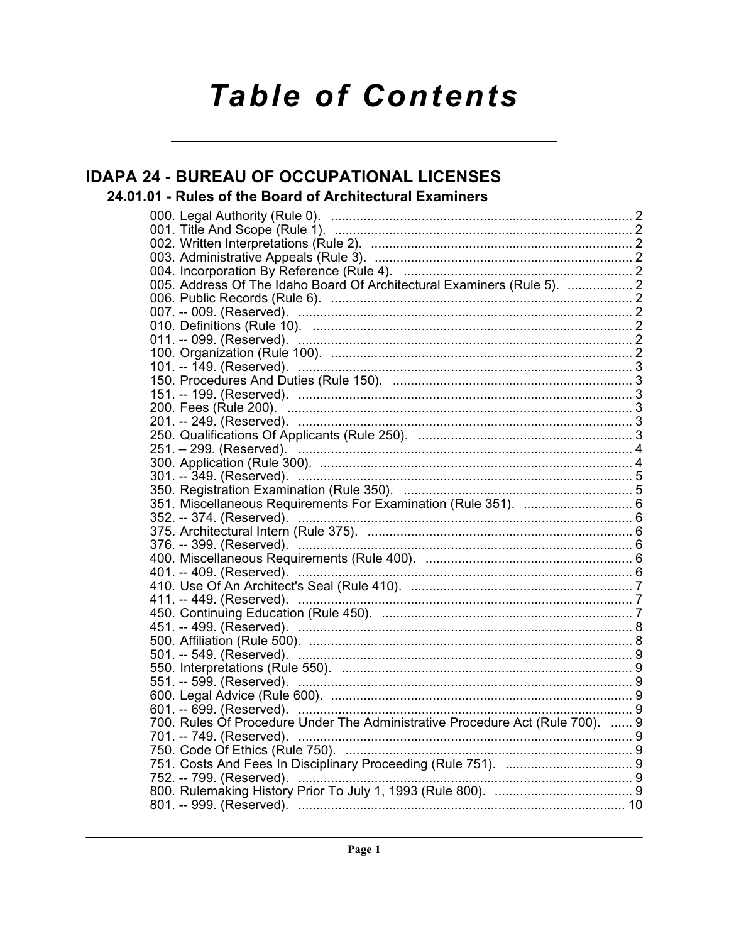# **Table of Contents**

### **IDAPA 24 - BUREAU OF OCCUPATIONAL LICENSES**

### 24.01.01 - Rules of the Board of Architectural Examiners

| 005. Address Of The Idaho Board Of Architectural Examiners (Rule 5).  2                                                |  |
|------------------------------------------------------------------------------------------------------------------------|--|
|                                                                                                                        |  |
|                                                                                                                        |  |
|                                                                                                                        |  |
|                                                                                                                        |  |
|                                                                                                                        |  |
|                                                                                                                        |  |
|                                                                                                                        |  |
|                                                                                                                        |  |
|                                                                                                                        |  |
|                                                                                                                        |  |
|                                                                                                                        |  |
|                                                                                                                        |  |
|                                                                                                                        |  |
|                                                                                                                        |  |
|                                                                                                                        |  |
| 351. Miscellaneous Requirements For Examination (Rule 351).  6                                                         |  |
|                                                                                                                        |  |
|                                                                                                                        |  |
|                                                                                                                        |  |
|                                                                                                                        |  |
|                                                                                                                        |  |
| 400. Miscellaneous Requirements (Rule 400).<br>401. -- 409. (Reserved).<br>410. Use Of An Architect's Seal (Rule 410). |  |
|                                                                                                                        |  |
|                                                                                                                        |  |
|                                                                                                                        |  |
|                                                                                                                        |  |
|                                                                                                                        |  |
|                                                                                                                        |  |
|                                                                                                                        |  |
|                                                                                                                        |  |
|                                                                                                                        |  |
| 700. Rules Of Procedure Under The Administrative Procedure Act (Rule 700).  9                                          |  |
|                                                                                                                        |  |
|                                                                                                                        |  |
|                                                                                                                        |  |
|                                                                                                                        |  |
|                                                                                                                        |  |
|                                                                                                                        |  |
|                                                                                                                        |  |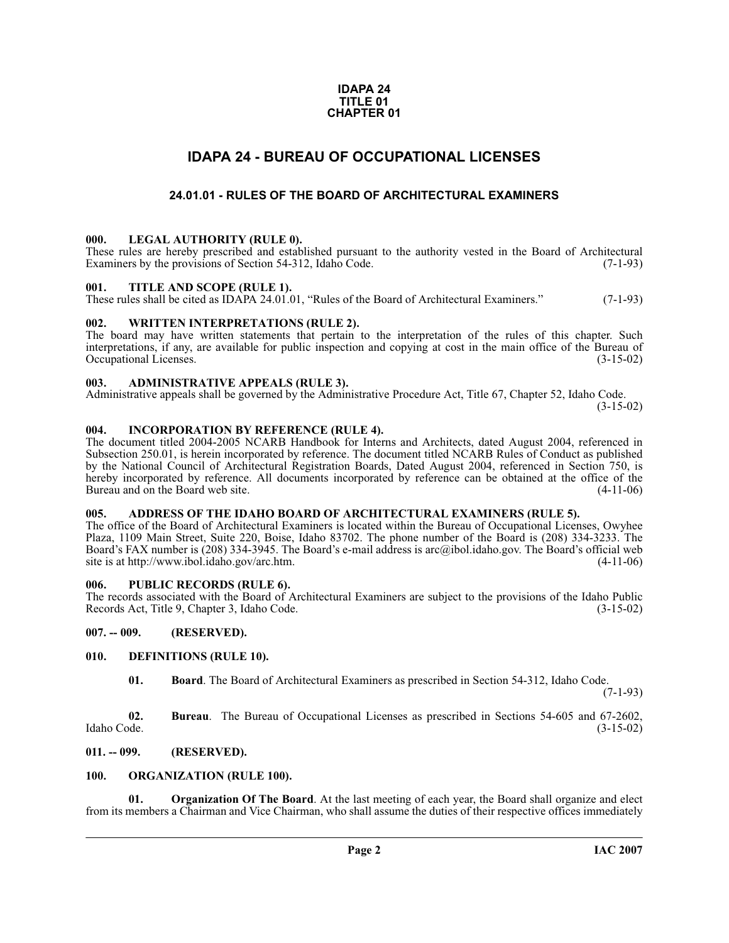#### **IDAPA 24 TITLE 01 CHAPTER 01**

### **IDAPA 24 - BUREAU OF OCCUPATIONAL LICENSES**

#### **24.01.01 - RULES OF THE BOARD OF ARCHITECTURAL EXAMINERS**

#### <span id="page-1-2"></span><span id="page-1-1"></span><span id="page-1-0"></span>**000. LEGAL AUTHORITY (RULE 0).**

These rules are hereby prescribed and established pursuant to the authority vested in the Board of Architectural Examiners by the provisions of Section 54-312, Idaho Code. (7-1-93) Examiners by the provisions of Section 54-312, Idaho Code.

#### <span id="page-1-3"></span>**001. TITLE AND SCOPE (RULE 1).**

These rules shall be cited as IDAPA 24.01.01, "Rules of the Board of Architectural Examiners." (7-1-93)

#### <span id="page-1-4"></span>**002. WRITTEN INTERPRETATIONS (RULE 2).**

The board may have written statements that pertain to the interpretation of the rules of this chapter. Such interpretations, if any, are available for public inspection and copying at cost in the main office of the Bureau of Occupational Licenses. (3-15-02) Occupational Licenses.

#### <span id="page-1-5"></span>**003. ADMINISTRATIVE APPEALS (RULE 3).**

Administrative appeals shall be governed by the Administrative Procedure Act, Title 67, Chapter 52, Idaho Code.

 $(3-15-02)$ 

#### <span id="page-1-6"></span>**004. INCORPORATION BY REFERENCE (RULE 4).**

The document titled 2004-2005 NCARB Handbook for Interns and Architects, dated August 2004, referenced in Subsection 250.01, is herein incorporated by reference. The document titled NCARB Rules of Conduct as published by the National Council of Architectural Registration Boards, Dated August 2004, referenced in Section 750, is hereby incorporated by reference. All documents incorporated by reference can be obtained at the office of the<br>Bureau and on the Board web site. (4-11-06) Bureau and on the Board web site.

#### <span id="page-1-7"></span>**005. ADDRESS OF THE IDAHO BOARD OF ARCHITECTURAL EXAMINERS (RULE 5).**

[The office of the Board of Architectural Examiners is located within the Bureau of Occupational Licenses, Owyhee](mailto:arc@ibol.idaho.gov) Plaza, 1109 Main Street, Suite 220, Boise, Idaho 83702. The phone number of the Board is (208) 334-3233. The Board's FAX number is (208) 334-3945. The Board's e-mail address is arc@ibol.idaho.gov. The Board's official web [site is at](mailto:arc@ibol.idaho.gov) http://www.ibol.idaho.gov/arc.htm.

#### <span id="page-1-8"></span>**006. PUBLIC RECORDS (RULE 6).**

The records associated with the Board of Architectural Examiners are subject to the provisions of the Idaho Public<br>Records Act, Title 9, Chapter 3, Idaho Code. (3-15-02) Records Act, Title 9, Chapter 3, Idaho Code.

<span id="page-1-9"></span>**007. -- 009. (RESERVED).**

#### <span id="page-1-10"></span>**010. DEFINITIONS (RULE 10).**

<span id="page-1-13"></span>**01. Board**. The Board of Architectural Examiners as prescribed in Section 54-312, Idaho Code.

(7-1-93)

**02.** Bureau. The Bureau of Occupational Licenses as prescribed in Sections 54-605 and 67-2602, Idaho Code. (3-15-02) Idaho Code. (3-15-02)

<span id="page-1-11"></span>**011. -- 099. (RESERVED).**

#### <span id="page-1-14"></span><span id="page-1-12"></span>**100. ORGANIZATION (RULE 100).**

<span id="page-1-15"></span>**01. Organization Of The Board**. At the last meeting of each year, the Board shall organize and elect from its members a Chairman and Vice Chairman, who shall assume the duties of their respective offices immediately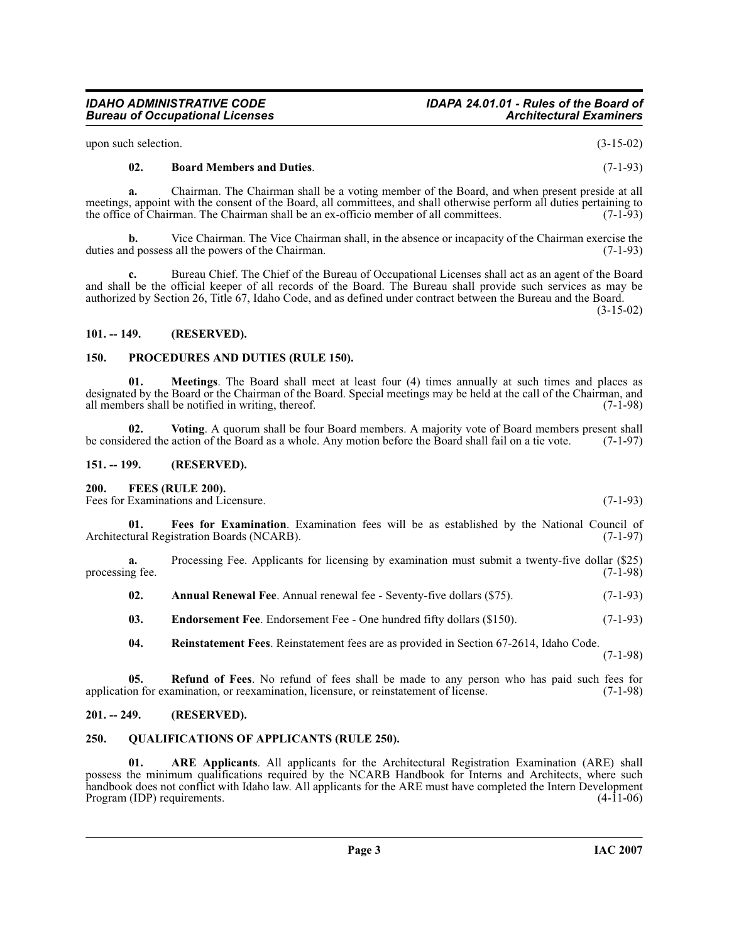upon such selection.  $(3-15-02)$ 

*Bureau of Occupational Licenses* 

#### <span id="page-2-8"></span>**02. Board Members and Duties**. (7-1-93)

**a.** Chairman. The Chairman shall be a voting member of the Board, and when present preside at all meetings, appoint with the consent of the Board, all committees, and shall otherwise perform all duties pertaining to<br>the office of Chairman. The Chairman shall be an ex-officio member of all committees. the office of Chairman. The Chairman shall be an ex-officio member of all committees.

**b.** Vice Chairman. The Vice Chairman shall, in the absence or incapacity of the Chairman exercise the duties and possess all the powers of the Chairman. (7-1-93)

**c.** Bureau Chief. The Chief of the Bureau of Occupational Licenses shall act as an agent of the Board and shall be the official keeper of all records of the Board. The Bureau shall provide such services as may be authorized by Section 26, Title 67, Idaho Code, and as defined under contract between the Bureau and the Board.

(3-15-02)

#### <span id="page-2-0"></span>**101. -- 149. (RESERVED).**

#### <span id="page-2-13"></span><span id="page-2-1"></span>**150. PROCEDURES AND DUTIES (RULE 150).**

<span id="page-2-12"></span>**01. Meetings**. The Board shall meet at least four (4) times annually at such times and places as designated by the Board or the Chairman of the Board. Special meetings may be held at the call of the Chairman, and all members shall be notified in writing, thereof. (7-1-98) all members shall be notified in writing, thereof.

<span id="page-2-17"></span>**02.** Voting. A quorum shall be four Board members. A majority vote of Board members present shall level the action of the Board as a whole. Any motion before the Board shall fail on a tie vote. (7-1-97) be considered the action of the Board as a whole. Any motion before the Board shall fail on a tie vote.

#### <span id="page-2-2"></span>**151. -- 199. (RESERVED).**

#### <span id="page-2-10"></span><span id="page-2-3"></span>**200. FEES (RULE 200).**

Fees for Examinations and Licensure. (7-1-93)

<span id="page-2-11"></span>**01. Fees for Examination**. Examination fees will be as established by the National Council of Architectural Registration Boards (NCARB). (7-1-97)

**a.** Processing Fee. Applicants for licensing by examination must submit a twenty-five dollar (\$25) processing fee.  $(7-1-98)$ 

<span id="page-2-7"></span>**02.** Annual Renewal Fee. Annual renewal fee - Seventy-five dollars (\$75). (7-1-93)

<span id="page-2-9"></span>**03. Endorsement Fee**. Endorsement Fee - One hundred fifty dollars (\$150). (7-1-93)

<span id="page-2-16"></span><span id="page-2-15"></span>**04. Reinstatement Fees**. Reinstatement fees are as provided in Section 67-2614, Idaho Code. (7-1-98)

**05. Refund of Fees**. No refund of fees shall be made to any person who has paid such fees for on for examination, or reexamination, licensure, or reinstatement of license. (7-1-98) application for examination, or reexamination, licensure, or reinstatement of license.

#### <span id="page-2-4"></span>**201. -- 249. (RESERVED).**

#### <span id="page-2-14"></span><span id="page-2-5"></span>**250. QUALIFICATIONS OF APPLICANTS (RULE 250).**

<span id="page-2-6"></span>**01. ARE Applicants**. All applicants for the Architectural Registration Examination (ARE) shall possess the minimum qualifications required by the NCARB Handbook for Interns and Architects, where such handbook does not conflict with Idaho law. All applicants for the ARE must have completed the Intern Development<br>Program (IDP) requirements. (4-11-06) Program (IDP) requirements.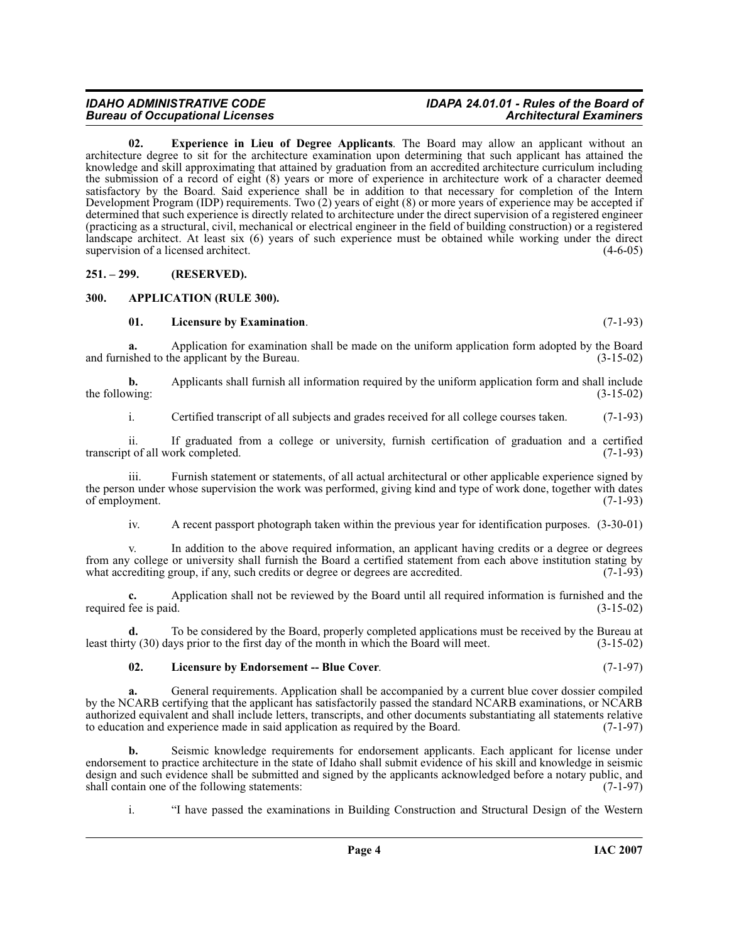## **Bureau of Occupational Licenses**

## *IDAHO ADMINISTRATIVE CODE IDAPA 24.01.01 - Rules of the Board of*

<span id="page-3-3"></span>**02. Experience in Lieu of Degree Applicants**. The Board may allow an applicant without an architecture degree to sit for the architecture examination upon determining that such applicant has attained the knowledge and skill approximating that attained by graduation from an accredited architecture curriculum including the submission of a record of eight (8) years or more of experience in architecture work of a character deemed satisfactory by the Board. Said experience shall be in addition to that necessary for completion of the Intern Development Program (IDP) requirements. Two (2) years of eight (8) or more years of experience may be accepted if determined that such experience is directly related to architecture under the direct supervision of a registered engineer (practicing as a structural, civil, mechanical or electrical engineer in the field of building construction) or a registered landscape architect. At least six (6) years of such experience must be obtained while working under the direct supervision of a licensed architect. (4-6-05)

<span id="page-3-0"></span>**251. – 299. (RESERVED).**

#### <span id="page-3-1"></span>**300. APPLICATION (RULE 300).**

#### <span id="page-3-4"></span><span id="page-3-2"></span>**01. Licensure by Examination**. (7-1-93)

**a.** Application for examination shall be made on the uniform application form adopted by the Board and furnished to the applicant by the Bureau. (3-15-02)

**b.** Applicants shall furnish all information required by the uniform application form and shall include wing:  $(3-15-02)$ the following:

i. Certified transcript of all subjects and grades received for all college courses taken. (7-1-93)

ii. If graduated from a college or university, furnish certification of graduation and a certified transcript of all work completed.

iii. Furnish statement or statements, of all actual architectural or other applicable experience signed by the person under whose supervision the work was performed, giving kind and type of work done, together with dates of employment. (7-1-93) of employment.

iv. A recent passport photograph taken within the previous year for identification purposes. (3-30-01)

v. In addition to the above required information, an applicant having credits or a degree or degrees from any college or university shall furnish the Board a certified statement from each above institution stating by what accrediting group, if any, such credits or degree or degrees are accredited. (7-1-93) what accrediting group, if any, such credits or degree or degrees are accredited.

Application shall not be reviewed by the Board until all required information is furnished and the d. (3-15-02) required fee is paid.

**d.** To be considered by the Board, properly completed applications must be received by the Bureau at least thirty (30) days prior to the first day of the month in which the Board will meet. (3-15-02)

#### <span id="page-3-5"></span>**02. Licensure by Endorsement -- Blue Cover**. (7-1-97)

**a.** General requirements. Application shall be accompanied by a current blue cover dossier compiled by the NCARB certifying that the applicant has satisfactorily passed the standard NCARB examinations, or NCARB authorized equivalent and shall include letters, transcripts, and other documents substantiating all statements relative<br>to education and experience made in said application as required by the Board. (7-1-97) to education and experience made in said application as required by the Board.

**b.** Seismic knowledge requirements for endorsement applicants. Each applicant for license under endorsement to practice architecture in the state of Idaho shall submit evidence of his skill and knowledge in seismic design and such evidence shall be submitted and signed by the applicants acknowledged before a notary public, and shall contain one of the following statements: (7-1-97) shall contain one of the following statements:

i. "I have passed the examinations in Building Construction and Structural Design of the Western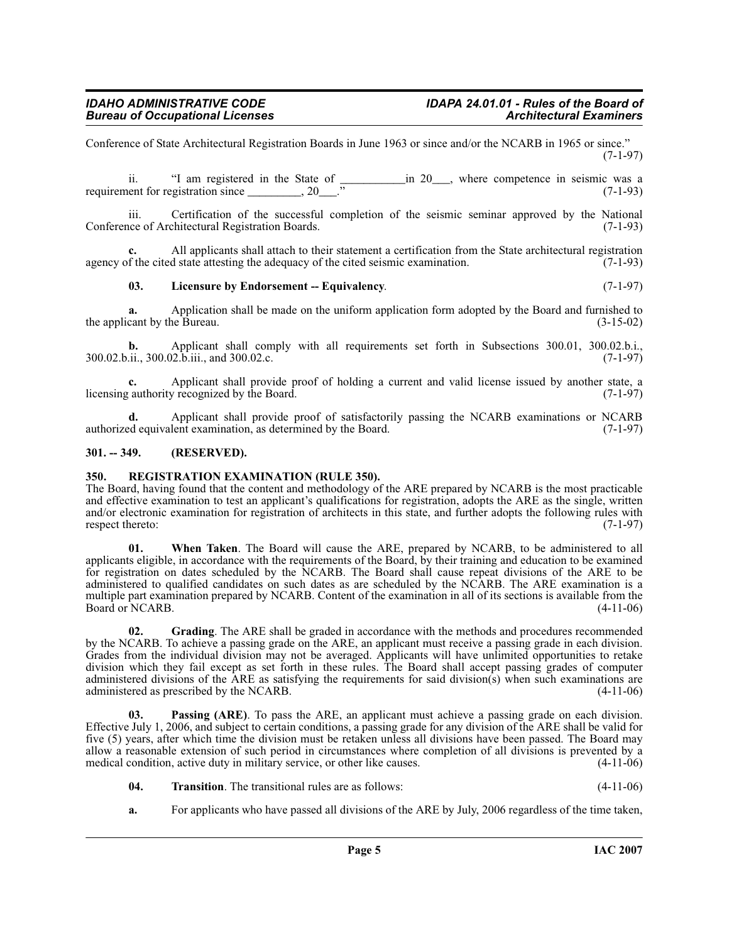Conference of State Architectural Registration Boards in June 1963 or since and/or the NCARB in 1965 or since." (7-1-97)

ii. "I am registered in the State of  $\frac{1}{20}$  in 20  $\frac{1}{20}$ , where competence in seismic was a neut for registration since  $\frac{1}{20}$ requirement for registration since \_\_\_\_\_\_\_\_\_, 20\_\_\_." (7-1-93)

iii. Certification of the successful completion of the seismic seminar approved by the National nee of Architectural Registration Boards. (7-1-93) Conference of Architectural Registration Boards.

All applicants shall attach to their statement a certification from the State architectural registration d state attesting the adequacy of the cited seismic examination. (7-1-93) agency of the cited state attesting the adequacy of the cited seismic examination.

#### <span id="page-4-3"></span>**03. Licensure by Endorsement -- Equivalency**. (7-1-97)

**a.** Application shall be made on the uniform application form adopted by the Board and furnished to cant by the Bureau. (3-15-02) the applicant by the Bureau.

**b.** Applicant shall comply with all requirements set forth in Subsections 300.01, 300.02.b.i., 300.02.b.ii., 300.02.b.iii., and 300.02.c. (7-1-97)

Applicant shall provide proof of holding a current and valid license issued by another state, a *recognized* by the Board. (7-1-97) licensing authority recognized by the Board.

**d.** Applicant shall provide proof of satisfactorily passing the NCARB examinations or NCARB authorized equivalent examination, as determined by the Board. (7-1-97)

#### <span id="page-4-0"></span>**301. -- 349. (RESERVED).**

#### <span id="page-4-5"></span><span id="page-4-1"></span>**350. REGISTRATION EXAMINATION (RULE 350).**

The Board, having found that the content and methodology of the ARE prepared by NCARB is the most practicable and effective examination to test an applicant's qualifications for registration, adopts the ARE as the single, written and/or electronic examination for registration of architects in this state, and further adopts the following rules with respect thereto: (7-1-97)

**01. When Taken**. The Board will cause the ARE, prepared by NCARB, to be administered to all applicants eligible, in accordance with the requirements of the Board, by their training and education to be examined for registration on dates scheduled by the NCARB. The Board shall cause repeat divisions of the ARE to be administered to qualified candidates on such dates as are scheduled by the NCARB. The ARE examination is a multiple part examination prepared by NCARB. Content of the examination in all of its sections is available from the Board or NCARB. (4-11-06) Board or NCARB.

<span id="page-4-2"></span>**02. Grading**. The ARE shall be graded in accordance with the methods and procedures recommended by the NCARB. To achieve a passing grade on the ARE, an applicant must receive a passing grade in each division. Grades from the individual division may not be averaged. Applicants will have unlimited opportunities to retake division which they fail except as set forth in these rules. The Board shall accept passing grades of computer administered divisions of the ARE as satisfying the requirements for said division(s) when such examinations are administered as prescribed by the NCARB. administered as prescribed by the NCARB.

<span id="page-4-4"></span>**03. Passing (ARE)**. To pass the ARE, an applicant must achieve a passing grade on each division. Effective July 1, 2006, and subject to certain conditions, a passing grade for any division of the ARE shall be valid for five (5) years, after which time the division must be retaken unless all divisions have been passed. The Board may allow a reasonable extension of such period in circumstances where completion of all divisions is prevented by a medical condition, active duty in military service, or other like causes.

- <span id="page-4-6"></span>**04. Transition**. The transitional rules are as follows: (4-11-06)
- **a.** For applicants who have passed all divisions of the ARE by July, 2006 regardless of the time taken,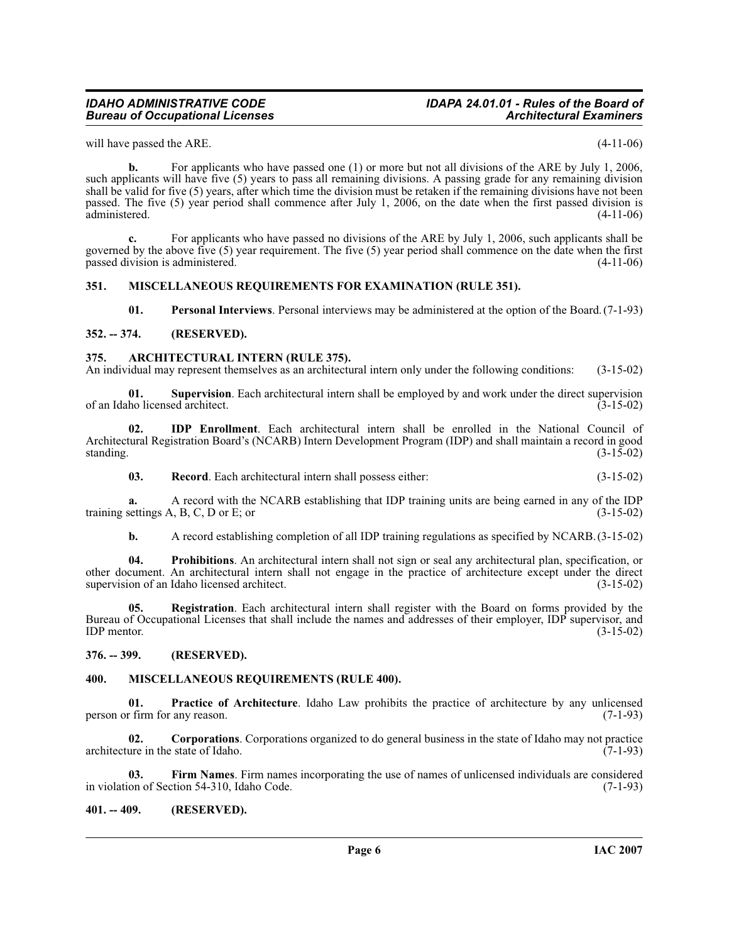### *Bureau of Occupational Licenses*

## *IDAHO ADMINISTRATIVE CODE IDAPA 24.01.01 - Rules of the Board of*

will have passed the ARE. (4-11-06)

**b.** For applicants who have passed one (1) or more but not all divisions of the ARE by July 1, 2006, such applicants will have five (5) years to pass all remaining divisions. A passing grade for any remaining division shall be valid for five (5) years, after which time the division must be retaken if the remaining divisions have not been passed. The five (5) year period shall commence after July 1, 2006, on the date when the first passed division is administered. (4-11-06) administered.

**c.** For applicants who have passed no divisions of the ARE by July 1, 2006, such applicants shall be governed by the above five (5) year requirement. The five (5) year period shall commence on the date when the first passed division is administered. (4-11-06) passed division is administered.

#### <span id="page-5-0"></span>**351. MISCELLANEOUS REQUIREMENTS FOR EXAMINATION (RULE 351).**

<span id="page-5-17"></span><span id="page-5-12"></span><span id="page-5-11"></span><span id="page-5-6"></span>**01. Personal Interviews**. Personal interviews may be administered at the option of the Board.(7-1-93)

#### <span id="page-5-1"></span>**352. -- 374. (RESERVED).**

#### <span id="page-5-2"></span>**375. ARCHITECTURAL INTERN (RULE 375).**

An individual may represent themselves as an architectural intern only under the following conditions: (3-15-02)

**01. Supervision**. Each architectural intern shall be employed by and work under the direct supervision ho licensed architect. (3-15-02) of an Idaho licensed architect.

**02. IDP Enrollment**. Each architectural intern shall be enrolled in the National Council of Architectural Registration Board's (NCARB) Intern Development Program (IDP) and shall maintain a record in good standing.  $(3-15-02)$ 

<span id="page-5-15"></span><span id="page-5-9"></span>**03. Record**. Each architectural intern shall possess either: (3-15-02)

**a.** A record with the NCARB establishing that IDP training units are being earned in any of the IDP settings A, B, C, D or E; or training settings  $A$ ,  $B$ ,  $C$ ,  $D$  or  $E$ ; or

<span id="page-5-16"></span><span id="page-5-14"></span>**b.** A record establishing completion of all IDP training regulations as specified by NCARB.(3-15-02)

**04. Prohibitions**. An architectural intern shall not sign or seal any architectural plan, specification, or other document. An architectural intern shall not engage in the practice of architecture except under the direct supervision of an Idaho licensed architect.

**05. Registration**. Each architectural intern shall register with the Board on forms provided by the Bureau of Occupational Licenses that shall include the names and addresses of their employer, IDP supervisor, and IDP mentor. (3-15-02)  $IDP$  mentor.  $(3-15-02)$ 

#### <span id="page-5-3"></span>**376. -- 399. (RESERVED).**

#### <span id="page-5-10"></span><span id="page-5-4"></span>**400. MISCELLANEOUS REQUIREMENTS (RULE 400).**

<span id="page-5-13"></span>**01. Practice of Architecture**. Idaho Law prohibits the practice of architecture by any unlicensed r firm for any reason. (7-1-93) person or firm for any reason.

<span id="page-5-7"></span>**02. Corporations**. Corporations organized to do general business in the state of Idaho may not practice architecture in the state of Idaho. (7-1-93)

<span id="page-5-8"></span>**03. Firm Names**. Firm names incorporating the use of names of unlicensed individuals are considered on of Section 54-310, Idaho Code. (7-1-93) in violation of Section 54-310, Idaho Code.

#### <span id="page-5-5"></span>**401. -- 409. (RESERVED).**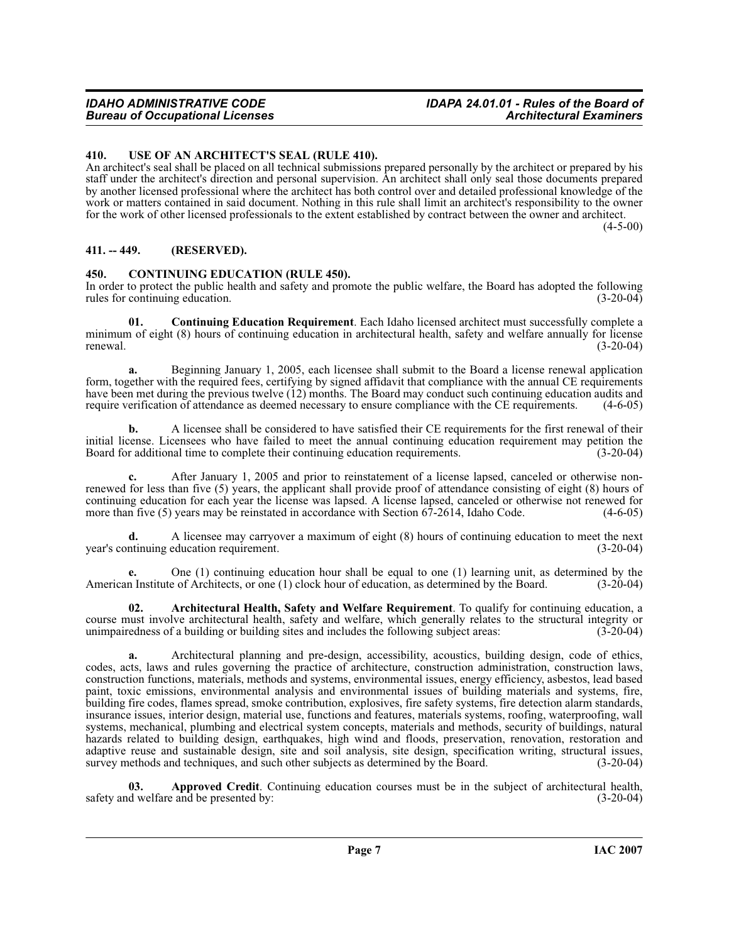#### <span id="page-6-0"></span>**410. USE OF AN ARCHITECT'S SEAL (RULE 410).**

An architect's seal shall be placed on all technical submissions prepared personally by the architect or prepared by his staff under the architect's direction and personal supervision. An architect shall only seal those documents prepared by another licensed professional where the architect has both control over and detailed professional knowledge of the work or matters contained in said document. Nothing in this rule shall limit an architect's responsibility to the owner for the work of other licensed professionals to the extent established by contract between the owner and architect.

 $(4 - 5 - 00)$ 

#### <span id="page-6-1"></span>**411. -- 449. (RESERVED).**

#### <span id="page-6-4"></span><span id="page-6-2"></span>**450. CONTINUING EDUCATION (RULE 450).**

In order to protect the public health and safety and promote the public welfare, the Board has adopted the following rules for continuing education. (3-20-04) rules for continuing education.

<span id="page-6-5"></span>**01. Continuing Education Requirement**. Each Idaho licensed architect must successfully complete a minimum of eight (8) hours of continuing education in architectural health, safety and welfare annually for license<br>(3-20-04)  $r = (3-20-04)$ 

**a.** Beginning January 1, 2005, each licensee shall submit to the Board a license renewal application form, together with the required fees, certifying by signed affidavit that compliance with the annual CE requirements have been met during the previous twelve (12) months. The Board may conduct such continuing education audits and require verification of attendance as deemed necessary to ensure compliance with the CE requirements. (4-6-05 require verification of attendance as deemed necessary to ensure compliance with the CE requirements.

**b.** A licensee shall be considered to have satisfied their CE requirements for the first renewal of their initial license. Licensees who have failed to meet the annual continuing education requirement may petition the Board for additional time to complete their continuing education requirements. (3-20-04) Board for additional time to complete their continuing education requirements.

**c.** After January 1, 2005 and prior to reinstatement of a license lapsed, canceled or otherwise nonrenewed for less than five (5) years, the applicant shall provide proof of attendance consisting of eight (8) hours of continuing education for each year the license was lapsed. A license lapsed, canceled or otherwise not renewed for more than five (5) years may be reinstated in accordance with Section 67-2614, Idaho Code. (4-6-05) more than five  $(5)$  years may be reinstated in accordance with Section  $67-2614$ , Idaho Code.

**d.** A licensee may carryover a maximum of eight (8) hours of continuing education to meet the next intinuing education requirement. (3-20-04) year's continuing education requirement.

**e.** One (1) continuing education hour shall be equal to one (1) learning unit, as determined by the hoard. (3-20-04) n Institute of Architects, or one (1) clock hour of education, as determined by the Board. (3-20-04) American Institute of Architects, or one (1) clock hour of education, as determined by the Board.

<span id="page-6-3"></span>**02. Architectural Health, Safety and Welfare Requirement**. To qualify for continuing education, a course must involve architectural health, safety and welfare, which generally relates to the structural integrity or unimpairedness of a building or building sites and includes the following subject areas: (3-20-04) unimpairedness of a building or building sites and includes the following subject areas: (3-20-04)

**a.** Architectural planning and pre-design, accessibility, acoustics, building design, code of ethics, codes, acts, laws and rules governing the practice of architecture, construction administration, construction laws, construction functions, materials, methods and systems, environmental issues, energy efficiency, asbestos, lead based paint, toxic emissions, environmental analysis and environmental issues of building materials and systems, fire, building fire codes, flames spread, smoke contribution, explosives, fire safety systems, fire detection alarm standards, insurance issues, interior design, material use, functions and features, materials systems, roofing, waterproofing, wall systems, mechanical, plumbing and electrical system concepts, materials and methods, security of buildings, natural hazards related to building design, earthquakes, high wind and floods, preservation, renovation, restoration and adaptive reuse and sustainable design, site and soil analysis, site design, specification writing, structural issues, survey methods and techniques, and such other subjects as determined by the Board. (3-20-04) survey methods and techniques, and such other subjects as determined by the Board.

**03. Approved Credit**. Continuing education courses must be in the subject of architectural health, d welfare and be presented by: (3-20-04) safety and welfare and be presented by: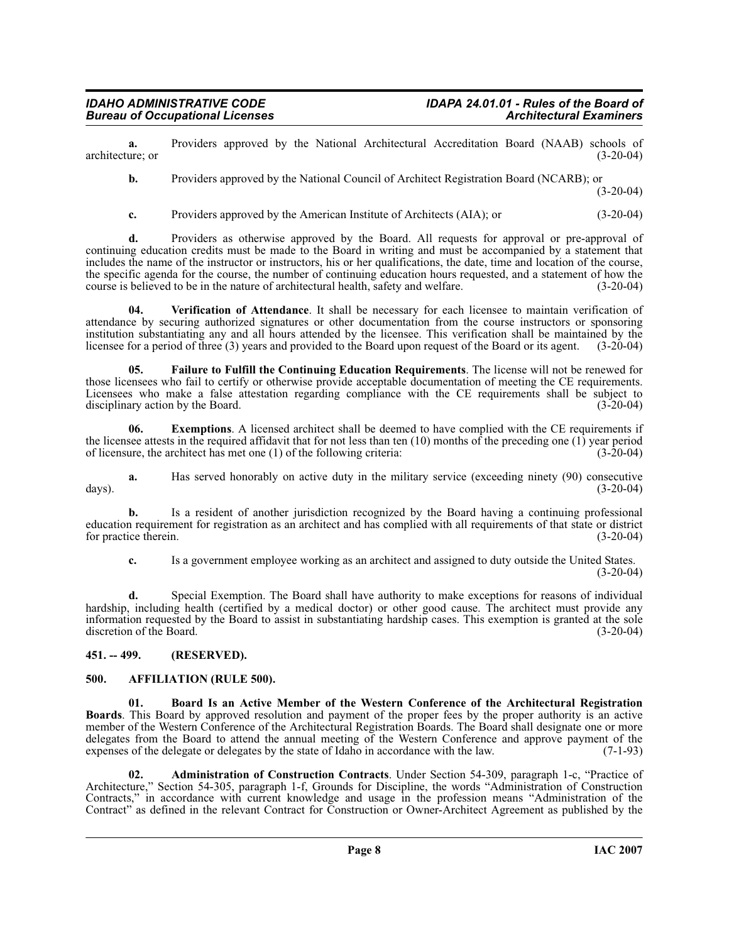**a.** Providers approved by the National Architectural Accreditation Board (NAAB) schools of ure: or (3-20-04) architecture; or

**b.** Providers approved by the National Council of Architect Registration Board (NCARB); or

 $(3-20-04)$ 

**c.** Providers approved by the American Institute of Architects (AIA); or (3-20-04)

**d.** Providers as otherwise approved by the Board. All requests for approval or pre-approval of continuing education credits must be made to the Board in writing and must be accompanied by a statement that includes the name of the instructor or instructors, his or her qualifications, the date, time and location of the course, the specific agenda for the course, the number of continuing education hours requested, and a statement of how the course is believed to be in the nature of architectural health. safety and welfare. (3-20-04) course is believed to be in the nature of architectural health, safety and welfare.

<span id="page-7-6"></span>**04. Verification of Attendance**. It shall be necessary for each licensee to maintain verification of attendance by securing authorized signatures or other documentation from the course instructors or sponsoring institution substantiating any and all hours attended by the licensee. This verification shall be maintained by the licensee for a period of three (3) years and provided to the Board upon request of the Board or its agent. licensee for a period of three (3) years and provided to the Board upon request of the Board or its agent.

<span id="page-7-5"></span>**05. Failure to Fulfill the Continuing Education Requirements**. The license will not be renewed for those licensees who fail to certify or otherwise provide acceptable documentation of meeting the CE requirements. Licensees who make a false attestation regarding compliance with the CE requirements shall be subject to disciplinary action by the Board. (3-20-04) disciplinary action by the Board.

**06.** Exemptions. A licensed architect shall be deemed to have complied with the CE requirements if the licensee attests in the required affidavit that for not less than ten (10) months of the preceding one (1) year period of licensure, the architect has met one (1) of the following criteria:  $(3-20-04)$ of licensure, the architect has met one  $(1)$  of the following criteria:

**a.** Has served honorably on active duty in the military service (exceeding ninety (90) consecutive (3-20-04) days). (3-20-04)

**b.** Is a resident of another jurisdiction recognized by the Board having a continuing professional education requirement for registration as an architect and has complied with all requirements of that state or district for practice therein.

**c.** Is a government employee working as an architect and assigned to duty outside the United States. (3-20-04)

**d.** Special Exemption. The Board shall have authority to make exceptions for reasons of individual hardship, including health (certified by a medical doctor) or other good cause. The architect must provide any information requested by the Board to assist in substantiating hardship cases. This exemption is granted at the sole discretion of the Board. (3-20-04)

#### <span id="page-7-0"></span>**451. -- 499. (RESERVED).**

#### <span id="page-7-3"></span><span id="page-7-1"></span>**500. AFFILIATION (RULE 500).**

<span id="page-7-4"></span>**01. Board Is an Active Member of the Western Conference of the Architectural Registration Boards**. This Board by approved resolution and payment of the proper fees by the proper authority is an active member of the Western Conference of the Architectural Registration Boards. The Board shall designate one or more delegates from the Board to attend the annual meeting of the Western Conference and approve payment of the expenses of the delegate or delegates by the state of Idaho in accordance with the law. (7-1-93)

<span id="page-7-2"></span>**02. Administration of Construction Contracts**. Under Section 54-309, paragraph 1-c, "Practice of Architecture," Section 54-305, paragraph 1-f, Grounds for Discipline, the words "Administration of Construction Contracts," in accordance with current knowledge and usage in the profession means "Administration of the Contract" as defined in the relevant Contract for Construction or Owner-Architect Agreement as published by the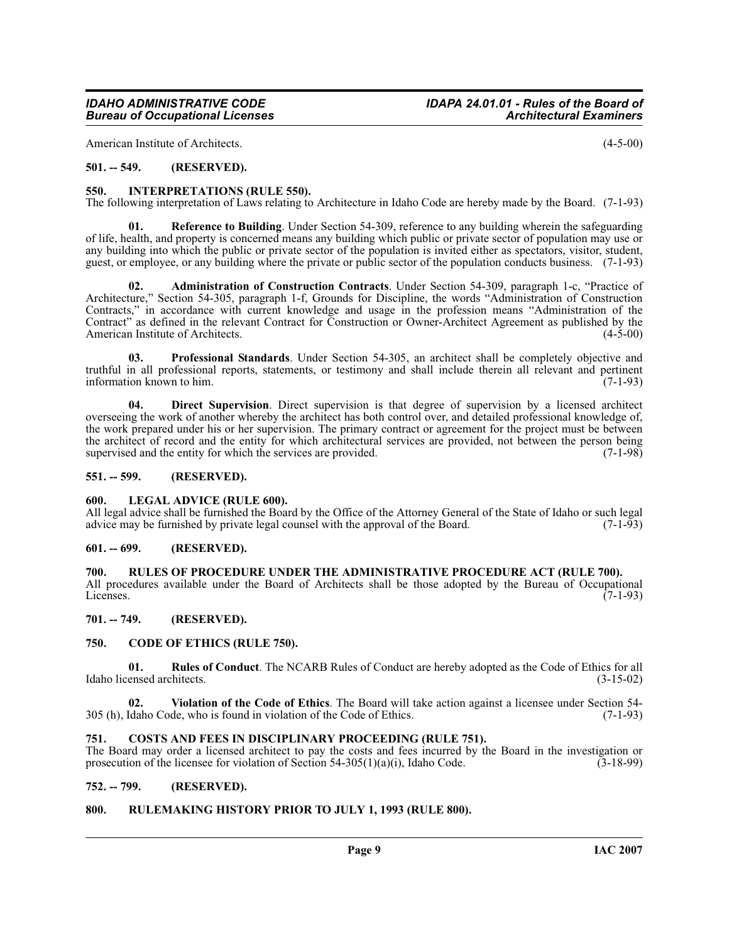American Institute of Architects. (4-5-00)

#### <span id="page-8-0"></span>**501. -- 549. (RESERVED).**

#### <span id="page-8-15"></span><span id="page-8-1"></span>**550. INTERPRETATIONS (RULE 550).**

The following interpretation of Laws relating to Architecture in Idaho Code are hereby made by the Board. (7-1-93)

<span id="page-8-18"></span>**01. Reference to Building**. Under Section 54-309, reference to any building wherein the safeguarding of life, health, and property is concerned means any building which public or private sector of population may use or any building into which the public or private sector of the population is invited either as spectators, visitor, student, guest, or employee, or any building where the private or public sector of the population conducts business. (7-1-93)

<span id="page-8-11"></span>**02. Administration of Construction Contracts**. Under Section 54-309, paragraph 1-c, "Practice of Architecture," Section 54-305, paragraph 1-f, Grounds for Discipline, the words "Administration of Construction Contracts," in accordance with current knowledge and usage in the profession means "Administration of the Contract<sup>\*</sup> as defined in the relevant Contract for Construction or Owner-Architect Agreement as published by the American Institute of Architects. (4-5-00) American Institute of Architects.

<span id="page-8-17"></span>**03. Professional Standards**. Under Section 54-305, an architect shall be completely objective and truthful in all professional reports, statements, or testimony and shall include therein all relevant and pertinent information known to him.

<span id="page-8-14"></span>**04. Direct Supervision**. Direct supervision is that degree of supervision by a licensed architect overseeing the work of another whereby the architect has both control over, and detailed professional knowledge of, the work prepared under his or her supervision. The primary contract or agreement for the project must be between the architect of record and the entity for which architectural services are provided, not between the person being<br>supervised and the entity for which the services are provided. (7-1-98) supervised and the entity for which the services are provided.

#### <span id="page-8-2"></span>**551. -- 599. (RESERVED).**

#### <span id="page-8-16"></span><span id="page-8-3"></span>**600. LEGAL ADVICE (RULE 600).**

All legal advice shall be furnished the Board by the Office of the Attorney General of the State of Idaho or such legal advice may be furnished by private legal counsel with the approval of the Board. (7-1-93) advice may be furnished by private legal counsel with the approval of the Board.

#### <span id="page-8-4"></span>**601. -- 699. (RESERVED).**

#### <span id="page-8-5"></span>**700. RULES OF PROCEDURE UNDER THE ADMINISTRATIVE PROCEDURE ACT (RULE 700).** All procedures available under the Board of Architects shall be those adopted by the Bureau of Occupational Licenses. (7-1-93) Licenses.  $(7-1-93)$

<span id="page-8-6"></span>**701. -- 749. (RESERVED).**

#### <span id="page-8-12"></span><span id="page-8-7"></span>**750. CODE OF ETHICS (RULE 750).**

<span id="page-8-19"></span>**01. Rules of Conduct**. The NCARB Rules of Conduct are hereby adopted as the Code of Ethics for all ensed architects. (3-15-02) Idaho licensed architects.

<span id="page-8-20"></span>**02. Violation of the Code of Ethics**. The Board will take action against a licensee under Section 54- 305 (h), Idaho Code, who is found in violation of the Code of Ethics. (7-1-93)

#### <span id="page-8-13"></span><span id="page-8-8"></span>**751. COSTS AND FEES IN DISCIPLINARY PROCEEDING (RULE 751).**

The Board may order a licensed architect to pay the costs and fees incurred by the Board in the investigation or prosecution of the licensee for violation of Section 54-305(1)(a)(i), Idaho Code.  $(3-18-99)$ prosecution of the licensee for violation of Section  $54-305(1)(a)(i)$ , Idaho Code.

#### <span id="page-8-9"></span>**752. -- 799. (RESERVED).**

#### <span id="page-8-10"></span>**800. RULEMAKING HISTORY PRIOR TO JULY 1, 1993 (RULE 800).**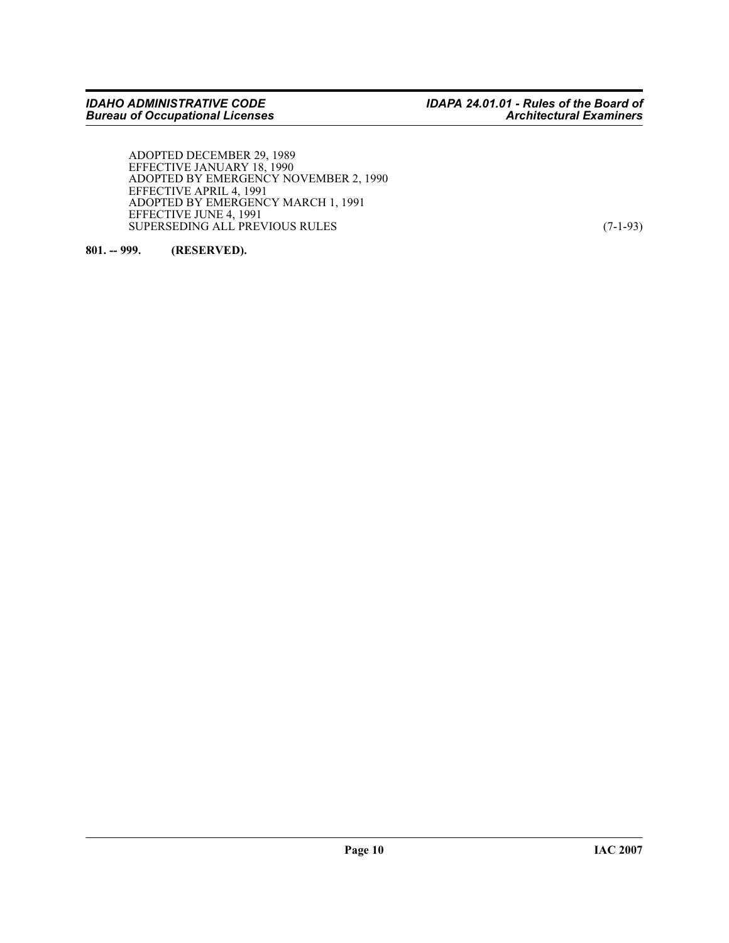ADOPTED DECEMBER 29, 1989 EFFECTIVE JANUARY 18, 1990 ADOPTED BY EMERGENCY NOVEMBER 2, 1990 EFFECTIVE APRIL 4, 1991 ADOPTED BY EMERGENCY MARCH 1, 1991 EFFECTIVE JUNE 4, 1991 SUPERSEDING ALL PREVIOUS RULES (7-1-93)

<span id="page-9-0"></span>**801. -- 999. (RESERVED).**